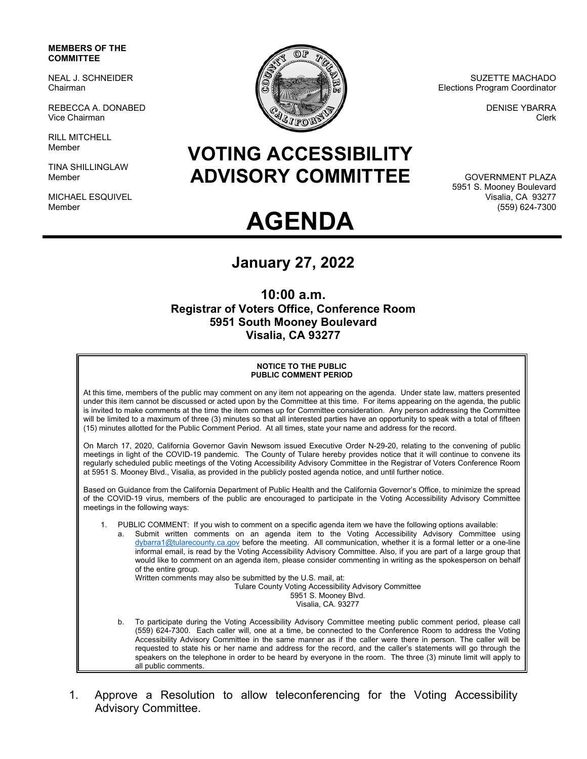### **MEMBERS OF THE COMMITTEE**

NEAL J. SCHNEIDER Chairman

REBECCA A. DONABED Vice Chairman

RILL MITCHELL Member

TINA SHILLINGLAW Member

MICHAEL ESQUIVEL Member



SUZETTE MACHADO Elections Program Coordinator

> DENISE YBARRA Clerk

## **VOTING ACCESSIBILITY ADVISORY COMMITTEE**

GOVERNMENT PLAZA 5951 S. Mooney Boulevard Visalia, CA 93277 (559) 624-7300

# **AGENDA**

### **January 27, 2022**

**10:00 a.m. Registrar of Voters Office, Conference Room 5951 South Mooney Boulevard Visalia, CA 93277** 

#### **NOTICE TO THE PUBLIC PUBLIC COMMENT PERIOD**

At this time, members of the public may comment on any item not appearing on the agenda. Under state law, matters presented under this item cannot be discussed or acted upon by the Committee at this time. For items appearing on the agenda, the public is invited to make comments at the time the item comes up for Committee consideration. Any person addressing the Committee will be limited to a maximum of three (3) minutes so that all interested parties have an opportunity to speak with a total of fifteen (15) minutes allotted for the Public Comment Period. At all times, state your name and address for the record.

On March 17, 2020, California Governor Gavin Newsom issued Executive Order N-29-20, relating to the convening of public meetings in light of the COVID-19 pandemic. The County of Tulare hereby provides notice that it will continue to convene its regularly scheduled public meetings of the Voting Accessibility Advisory Committee in the Registrar of Voters Conference Room at 5951 S. Mooney Blvd., Visalia, as provided in the publicly posted agenda notice, and until further notice.

Based on Guidance from the California Department of Public Health and the California Governor's Office, to minimize the spread of the COVID-19 virus, members of the public are encouraged to participate in the Voting Accessibility Advisory Committee meetings in the following ways:

- 1. PUBLIC COMMENT: If you wish to comment on a specific agenda item we have the following options available:
	- a. Submit written comments on an agenda item to the Voting Accessibility Advisory Committee using dybarra1@tularecounty.ca.gov before the meeting. All communication, whether it is a formal letter or a one-line informal email, is read by the Voting Accessibility Advisory Committee. Also, if you are part of a large group that would like to comment on an agenda item, please consider commenting in writing as the spokesperson on behalf of the entire group.

Written comments may also be submitted by the U.S. mail, at:

Tulare County Voting Accessibility Advisory Committee

5951 S. Mooney Blvd.

Visalia, CA. 93277

- b. To participate during the Voting Accessibility Advisory Committee meeting public comment period, please call (559) 624-7300. Each caller will, one at a time, be connected to the Conference Room to address the Voting Accessibility Advisory Committee in the same manner as if the caller were there in person. The caller will be requested to state his or her name and address for the record, and the caller's statements will go through the speakers on the telephone in order to be heard by everyone in the room. The three (3) minute limit will apply to all public comments.
- 1. Approve a Resolution to allow teleconferencing for the Voting Accessibility Advisory Committee.